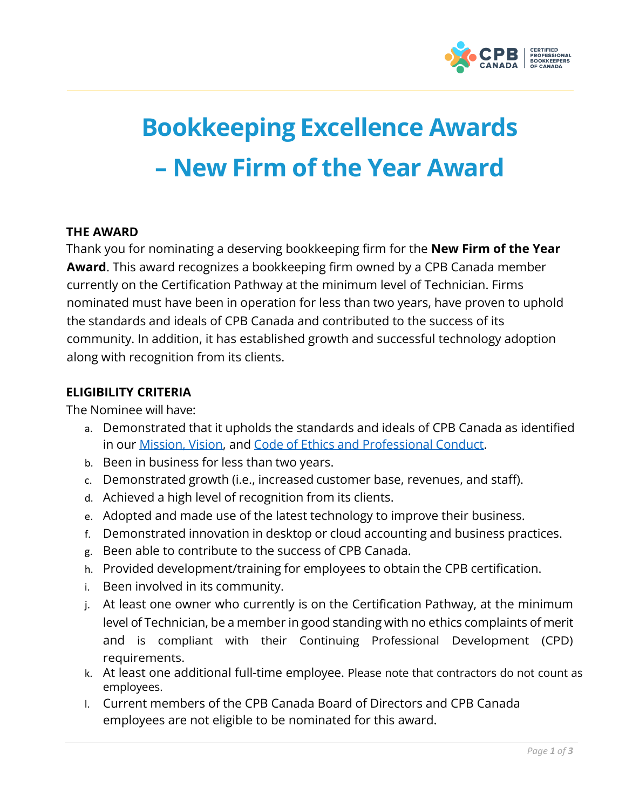

# **Bookkeeping Excellence Awards – New Firm of the Year Award**

# **THE AWARD**

Thank you for nominating a deserving bookkeeping firm for the **New Firm of the Year Award**. This award recognizes a bookkeeping firm owned by a CPB Canada member currently on the Certification Pathway at the minimum level of Technician. Firms nominated must have been in operation for less than two years, have proven to uphold the standards and ideals of CPB Canada and contributed to the success of its community. In addition, it has established growth and successful technology adoption along with recognition from its clients.

# **ELIGIBILITY CRITERIA**

The Nominee will have:

- a. Demonstrated that it upholds the standards and ideals of CPB Canada as identified in our [Mission,](https://cpbcan.ca/about/about.html) [Vision,](https://cpbcan.ca/about/about.html) and Code of Ethics and [Professional](https://cpbcan.ca/about/ethics/code-of-conduct.html) Conduct.
- b. Been in business for less than two years.
- c. Demonstrated growth (i.e., increased customer base, revenues, and staff).
- d. Achieved a high level of recognition from its clients.
- e. Adopted and made use of the latest technology to improve their business.
- f. Demonstrated innovation in desktop or cloud accounting and business practices.
- g. Been able to contribute to the success of CPB Canada.
- h. Provided development/training for employees to obtain the CPB certification.
- i. Been involved in its community.
- j. At least one owner who currently is on the Certification Pathway, at the minimum level of Technician, be a member in good standing with no ethics complaints of merit and is compliant with their Continuing Professional Development (CPD) requirements.
- k. At least one additional full-time employee. Please note that contractors do not count as employees.
- l. Current members of the CPB Canada Board of Directors and CPB Canada employees are not eligible to be nominated for this award.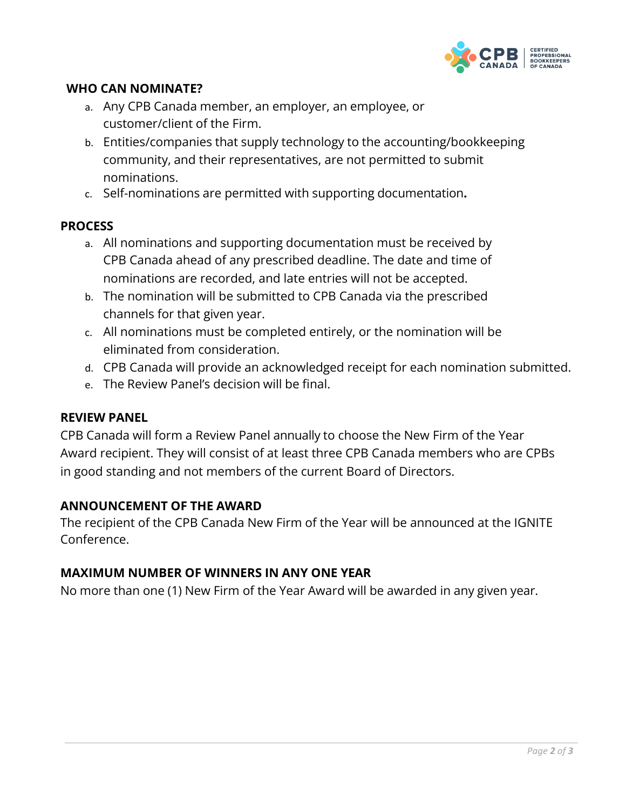

# **WHO CAN NOMINATE?**

- a. Any CPB Canada member, an employer, an employee, or customer/client of the Firm.
- b. Entities/companies that supply technology to the accounting/bookkeeping community, and their representatives, are not permitted to submit nominations.
- c. Self-nominations are permitted with supporting documentation**.**

## **PROCESS**

- a. All nominations and supporting documentation must be received by CPB Canada ahead of any prescribed deadline. The date and time of nominations are recorded, and late entries will not be accepted.
- b. The nomination will be submitted to CPB Canada via the prescribed channels for that given year.
- c. All nominations must be completed entirely, or the nomination will be eliminated from consideration.
- d. CPB Canada will provide an acknowledged receipt for each nomination submitted.
- e. The Review Panel's decision will be final.

#### **REVIEW PANEL**

CPB Canada will form a Review Panel annually to choose the New Firm of the Year Award recipient. They will consist of at least three CPB Canada members who are CPBs in good standing and not members of the current Board of Directors.

#### **ANNOUNCEMENT OF THE AWARD**

The recipient of the CPB Canada New Firm of the Year will be announced at the IGNITE Conference.

## **MAXIMUM NUMBER OF WINNERS IN ANY ONE YEAR**

No more than one (1) New Firm of the Year Award will be awarded in any given year.